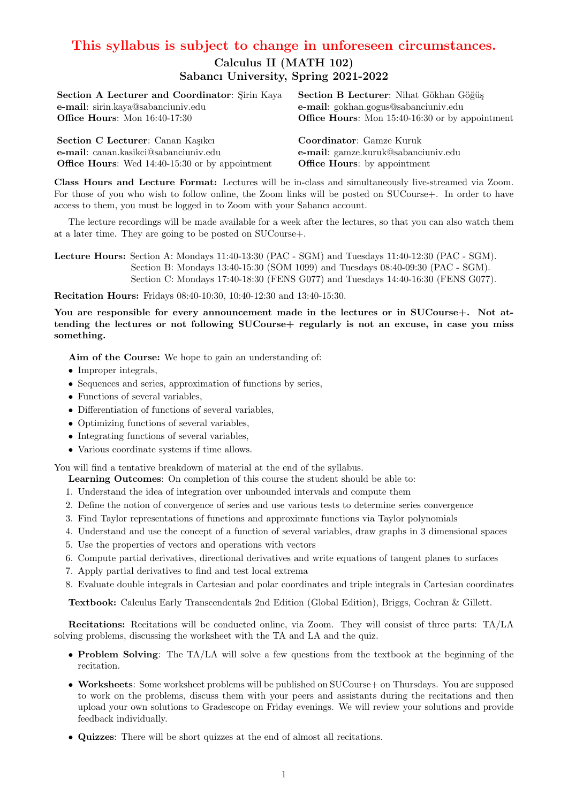## This syllabus is subject to change in unforeseen circumstances.

## Calculus II (MATH 102) Sabancı University, Spring 2021-2022

| Section A Lecturer and Coordinator: Sirin Kaya         | Section B Lecturer: Nihat Gökhan Göğüş                 |
|--------------------------------------------------------|--------------------------------------------------------|
| e-mail: sirin.kaya@sabanciuniv.edu                     | e-mail: gokhan.gogus@sabanciuniv.edu                   |
| <b>Office Hours:</b> Mon 16:40-17:30                   | <b>Office Hours:</b> Mon 15:40-16:30 or by appointment |
|                                                        |                                                        |
| Section C Lecturer: Canan Kaşıkcı                      | <b>Coordinator:</b> Gamze Kuruk                        |
| e-mail: canan.kasikci@sabanciuniv.edu                  | e-mail: gamze.kuruk@sabanciuniv.edu                    |
| <b>Office Hours:</b> Wed 14:40-15:30 or by appointment | <b>Office Hours:</b> by appointment                    |

Class Hours and Lecture Format: Lectures will be in-class and simultaneously live-streamed via Zoom. For those of you who wish to follow online, the Zoom links will be posted on SUCourse+. In order to have access to them, you must be logged in to Zoom with your Sabancı account.

The lecture recordings will be made available for a week after the lectures, so that you can also watch them at a later time. They are going to be posted on SUCourse+.

Lecture Hours: Section A: Mondays 11:40-13:30 (PAC - SGM) and Tuesdays 11:40-12:30 (PAC - SGM). Section B: Mondays 13:40-15:30 (SOM 1099) and Tuesdays 08:40-09:30 (PAC - SGM). Section C: Mondays 17:40-18:30 (FENS G077) and Tuesdays 14:40-16:30 (FENS G077).

Recitation Hours: Fridays 08:40-10:30, 10:40-12:30 and 13:40-15:30.

You are responsible for every announcement made in the lectures or in SUCourse+. Not attending the lectures or not following SUCourse + regularly is not an excuse, in case you miss something.

Aim of the Course: We hope to gain an understanding of:

- Improper integrals,
- Sequences and series, approximation of functions by series,
- Functions of several variables,
- Differentiation of functions of several variables,
- Optimizing functions of several variables,
- Integrating functions of several variables,
- Various coordinate systems if time allows.

You will find a tentative breakdown of material at the end of the syllabus.

- Learning Outcomes: On completion of this course the student should be able to:
- 1. Understand the idea of integration over unbounded intervals and compute them
- 2. Define the notion of convergence of series and use various tests to determine series convergence
- 3. Find Taylor representations of functions and approximate functions via Taylor polynomials
- 4. Understand and use the concept of a function of several variables, draw graphs in 3 dimensional spaces
- 5. Use the properties of vectors and operations with vectors
- 6. Compute partial derivatives, directional derivatives and write equations of tangent planes to surfaces
- 7. Apply partial derivatives to find and test local extrema
- 8. Evaluate double integrals in Cartesian and polar coordinates and triple integrals in Cartesian coordinates

Textbook: Calculus Early Transcendentals 2nd Edition (Global Edition), Briggs, Cochran & Gillett.

Recitations: Recitations will be conducted online, via Zoom. They will consist of three parts: TA/LA solving problems, discussing the worksheet with the TA and LA and the quiz.

- Problem Solving: The TA/LA will solve a few questions from the textbook at the beginning of the recitation.
- Worksheets: Some worksheet problems will be published on SUCourse+ on Thursdays. You are supposed to work on the problems, discuss them with your peers and assistants during the recitations and then upload your own solutions to Gradescope on Friday evenings. We will review your solutions and provide feedback individually.
- Quizzes: There will be short quizzes at the end of almost all recitations.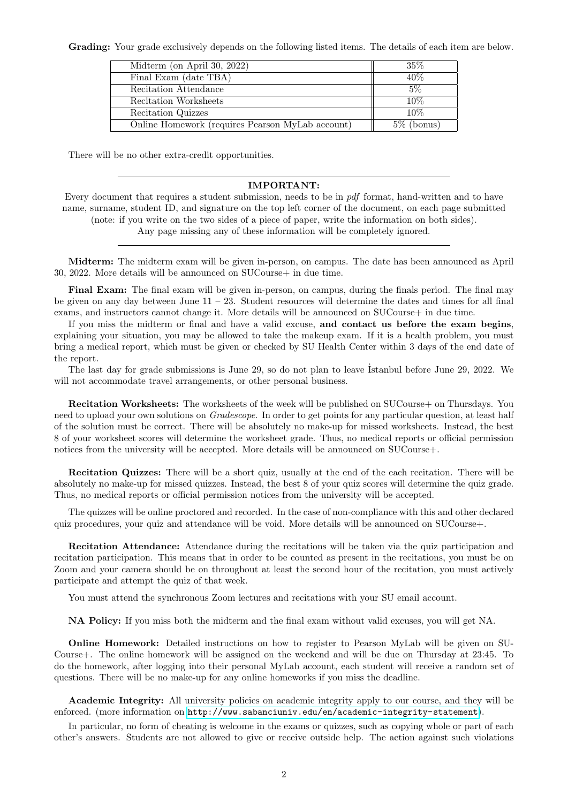Grading: Your grade exclusively depends on the following listed items. The details of each item are below.

| Midterm (on April 30, 2022)                      | $35\%$        |
|--------------------------------------------------|---------------|
| Final Exam (date TBA)                            | $40\%$        |
| Recitation Attendance                            | $5\%$         |
| Recitation Worksheets                            | 10\%          |
| Recitation Quizzes                               | 10%           |
| Online Homework (requires Pearson MyLab account) | $5\%$ (bonus) |

There will be no other extra-credit opportunities.

## IMPORTANT:

Every document that requires a student submission, needs to be in pdf format, hand-written and to have name, surname, student ID, and signature on the top left corner of the document, on each page submitted (note: if you write on the two sides of a piece of paper, write the information on both sides).

Any page missing any of these information will be completely ignored.

Midterm: The midterm exam will be given in-person, on campus. The date has been announced as April 30, 2022. More details will be announced on SUCourse+ in due time.

Final Exam: The final exam will be given in-person, on campus, during the finals period. The final may be given on any day between June 11 – 23. Student resources will determine the dates and times for all final exams, and instructors cannot change it. More details will be announced on SUCourse+ in due time.

If you miss the midterm or final and have a valid excuse, and contact us before the exam begins, explaining your situation, you may be allowed to take the makeup exam. If it is a health problem, you must bring a medical report, which must be given or checked by SU Health Center within 3 days of the end date of the report.

The last day for grade submissions is June 29, so do not plan to leave Istanbul before June 29, 2022. We will not accommodate travel arrangements, or other personal business.

Recitation Worksheets: The worksheets of the week will be published on SUCourse+ on Thursdays. You need to upload your own solutions on *Gradescope*. In order to get points for any particular question, at least half of the solution must be correct. There will be absolutely no make-up for missed worksheets. Instead, the best 8 of your worksheet scores will determine the worksheet grade. Thus, no medical reports or official permission notices from the university will be accepted. More details will be announced on SUCourse+.

Recitation Quizzes: There will be a short quiz, usually at the end of the each recitation. There will be absolutely no make-up for missed quizzes. Instead, the best 8 of your quiz scores will determine the quiz grade. Thus, no medical reports or official permission notices from the university will be accepted.

The quizzes will be online proctored and recorded. In the case of non-compliance with this and other declared quiz procedures, your quiz and attendance will be void. More details will be announced on SUCourse+.

Recitation Attendance: Attendance during the recitations will be taken via the quiz participation and recitation participation. This means that in order to be counted as present in the recitations, you must be on Zoom and your camera should be on throughout at least the second hour of the recitation, you must actively participate and attempt the quiz of that week.

You must attend the synchronous Zoom lectures and recitations with your SU email account.

NA Policy: If you miss both the midterm and the final exam without valid excuses, you will get NA.

Online Homework: Detailed instructions on how to register to Pearson MyLab will be given on SU-Course+. The online homework will be assigned on the weekend and will be due on Thursday at 23:45. To do the homework, after logging into their personal MyLab account, each student will receive a random set of questions. There will be no make-up for any online homeworks if you miss the deadline.

Academic Integrity: All university policies on academic integrity apply to our course, and they will be enforced. (more information on <http://www.sabanciuniv.edu/en/academic-integrity-statement>).

In particular, no form of cheating is welcome in the exams or quizzes, such as copying whole or part of each other's answers. Students are not allowed to give or receive outside help. The action against such violations